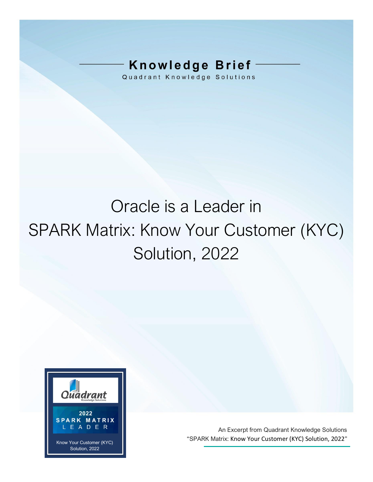# **Knowledge Brief**

Quadrant Knowledge Solutions

# Oracle is a Leader in SPARK Matrix: Know Your Customer (KYC) Solution, 2022



An Excerpt from Quadrant Knowledge Solutions "SPARK Matrix: Know Your Customer (KYC) Solution, 2022"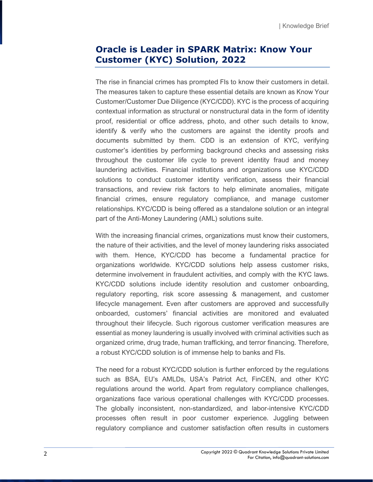# **Oracle is Leader in SPARK Matrix: Know Your Customer (KYC) Solution, 2022**

The rise in financial crimes has prompted FIs to know their customers in detail. The measures taken to capture these essential details are known as Know Your Customer/Customer Due Diligence (KYC/CDD). KYC is the process of acquiring contextual information as structural or nonstructural data in the form of identity proof, residential or office address, photo, and other such details to know, identify & verify who the customers are against the identity proofs and documents submitted by them. CDD is an extension of KYC, verifying customer's identities by performing background checks and assessing risks throughout the customer life cycle to prevent identity fraud and money laundering activities. Financial institutions and organizations use KYC/CDD solutions to conduct customer identity verification, assess their financial transactions, and review risk factors to help eliminate anomalies, mitigate financial crimes, ensure regulatory compliance, and manage customer relationships. KYC/CDD is being offered as a standalone solution or an integral part of the Anti-Money Laundering (AML) solutions suite.

With the increasing financial crimes, organizations must know their customers, the nature of their activities, and the level of money laundering risks associated with them. Hence, KYC/CDD has become a fundamental practice for organizations worldwide. KYC/CDD solutions help assess customer risks, determine involvement in fraudulent activities, and comply with the KYC laws. KYC/CDD solutions include identity resolution and customer onboarding, regulatory reporting, risk score assessing & management, and customer lifecycle management. Even after customers are approved and successfully onboarded, customers' financial activities are monitored and evaluated throughout their lifecycle. Such rigorous customer verification measures are essential as money laundering is usually involved with criminal activities such as organized crime, drug trade, human trafficking, and terror financing. Therefore, a robust KYC/CDD solution is of immense help to banks and FIs.

The need for a robust KYC/CDD solution is further enforced by the regulations such as BSA, EU's AMLDs, USA's Patriot Act, FinCEN, and other KYC regulations around the world. Apart from regulatory compliance challenges, organizations face various operational challenges with KYC/CDD processes. The globally inconsistent, non-standardized, and labor-intensive KYC/CDD processes often result in poor customer experience. Juggling between regulatory compliance and customer satisfaction often results in customers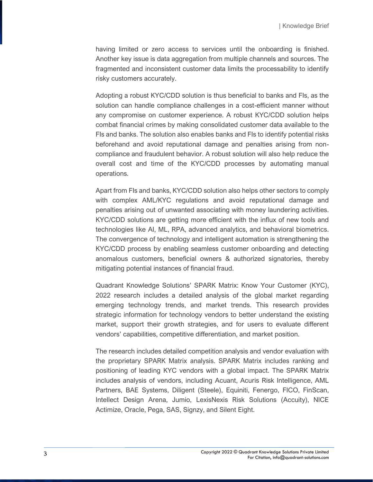having limited or zero access to services until the onboarding is finished. Another key issue is data aggregation from multiple channels and sources. The fragmented and inconsistent customer data limits the processability to identify risky customers accurately.

Adopting a robust KYC/CDD solution is thus beneficial to banks and FIs, as the solution can handle compliance challenges in a cost-efficient manner without any compromise on customer experience. A robust KYC/CDD solution helps combat financial crimes by making consolidated customer data available to the FIs and banks. The solution also enables banks and FIs to identify potential risks beforehand and avoid reputational damage and penalties arising from noncompliance and fraudulent behavior. A robust solution will also help reduce the overall cost and time of the KYC/CDD processes by automating manual operations.

Apart from FIs and banks, KYC/CDD solution also helps other sectors to comply with complex AML/KYC regulations and avoid reputational damage and penalties arising out of unwanted associating with money laundering activities. KYC/CDD solutions are getting more efficient with the influx of new tools and technologies like AI, ML, RPA, advanced analytics, and behavioral biometrics. The convergence of technology and intelligent automation is strengthening the KYC/CDD process by enabling seamless customer onboarding and detecting anomalous customers, beneficial owners & authorized signatories, thereby mitigating potential instances of financial fraud.

Quadrant Knowledge Solutions' SPARK Matrix: Know Your Customer (KYC), 2022 research includes a detailed analysis of the global market regarding emerging technology trends, and market trends. This research provides strategic information for technology vendors to better understand the existing market, support their growth strategies, and for users to evaluate different vendors' capabilities, competitive differentiation, and market position.

The research includes detailed competition analysis and vendor evaluation with the proprietary SPARK Matrix analysis. SPARK Matrix includes ranking and positioning of leading KYC vendors with a global impact. The SPARK Matrix includes analysis of vendors, including Acuant, Acuris Risk Intelligence, AML Partners, BAE Systems, Diligent (Steele), Equiniti, Fenergo, FICO, FinScan, Intellect Design Arena, Jumio, LexisNexis Risk Solutions (Accuity), NICE Actimize, Oracle, Pega, SAS, Signzy, and Silent Eight.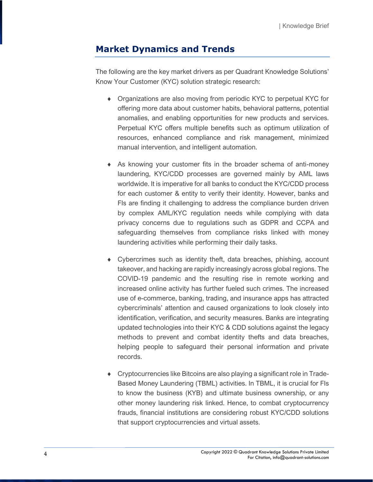# **Market Dynamics and Trends**

The following are the key market drivers as per Quadrant Knowledge Solutions' Know Your Customer (KYC) solution strategic research:

- Organizations are also moving from periodic KYC to perpetual KYC for offering more data about customer habits, behavioral patterns, potential anomalies, and enabling opportunities for new products and services. Perpetual KYC offers multiple benefits such as optimum utilization of resources, enhanced compliance and risk management, minimized manual intervention, and intelligent automation.
- As knowing your customer fits in the broader schema of anti-money laundering, KYC/CDD processes are governed mainly by AML laws worldwide. It is imperative for all banks to conduct the KYC/CDD process for each customer & entity to verify their identity. However, banks and FIs are finding it challenging to address the compliance burden driven by complex AML/KYC regulation needs while complying with data privacy concerns due to regulations such as GDPR and CCPA and safeguarding themselves from compliance risks linked with money laundering activities while performing their daily tasks.
- Cybercrimes such as identity theft, data breaches, phishing, account takeover, and hacking are rapidly increasingly across global regions. The COVID-19 pandemic and the resulting rise in remote working and increased online activity has further fueled such crimes. The increased use of e-commerce, banking, trading, and insurance apps has attracted cybercriminals' attention and caused organizations to look closely into identification, verification, and security measures. Banks are integrating updated technologies into their KYC & CDD solutions against the legacy methods to prevent and combat identity thefts and data breaches, helping people to safeguard their personal information and private records.
- Cryptocurrencies like Bitcoins are also playing a significant role in Trade-Based Money Laundering (TBML) activities. In TBML, it is crucial for FIs to know the business (KYB) and ultimate business ownership, or any other money laundering risk linked. Hence, to combat cryptocurrency frauds, financial institutions are considering robust KYC/CDD solutions that support cryptocurrencies and virtual assets.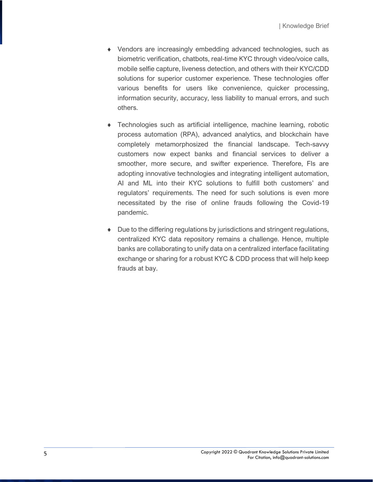- Vendors are increasingly embedding advanced technologies, such as biometric verification, chatbots, real-time KYC through video/voice calls, mobile selfie capture, liveness detection, and others with their KYC/CDD solutions for superior customer experience. These technologies offer various benefits for users like convenience, quicker processing, information security, accuracy, less liability to manual errors, and such others.
- Technologies such as artificial intelligence, machine learning, robotic process automation (RPA), advanced analytics, and blockchain have completely metamorphosized the financial landscape. Tech-savvy customers now expect banks and financial services to deliver a smoother, more secure, and swifter experience. Therefore, FIs are adopting innovative technologies and integrating intelligent automation, AI and ML into their KYC solutions to fulfill both customers' and regulators' requirements. The need for such solutions is even more necessitated by the rise of online frauds following the Covid-19 pandemic.
- Due to the differing regulations by jurisdictions and stringent regulations, centralized KYC data repository remains a challenge. Hence, multiple banks are collaborating to unify data on a centralized interface facilitating exchange or sharing for a robust KYC & CDD process that will help keep frauds at bay.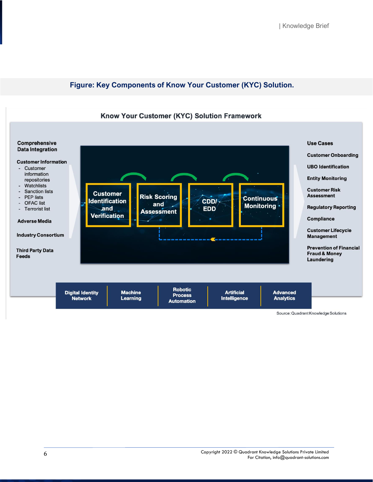#### **Figure: Key Components of Know Your Customer (KYC) Solution.**





Source: Quadrant Knowledge Solutions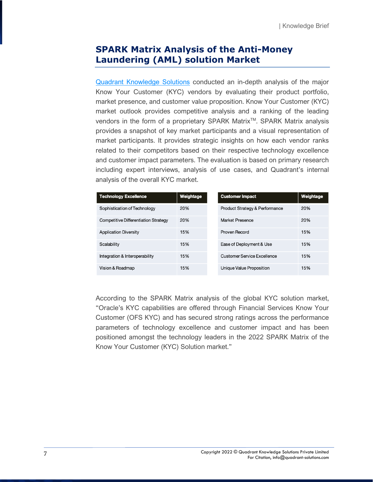## **SPARK Matrix Analysis of the Anti-Money Laundering (AML) solution Market**

[Quadrant Knowledge Solutions](https://quadrant-solutions.com/) conducted an in-depth analysis of the major Know Your Customer (KYC) vendors by evaluating their product portfolio, market presence, and customer value proposition. Know Your Customer (KYC) market outlook provides competitive analysis and a ranking of the leading vendors in the form of a proprietary SPARK Matrix<sup>™</sup>. SPARK Matrix analysis provides a snapshot of key market participants and a visual representation of market participants. It provides strategic insights on how each vendor ranks related to their competitors based on their respective technology excellence and customer impact parameters. The evaluation is based on primary research including expert interviews, analysis of use cases, and Quadrant's internal analysis of the overall KYC market.

| <b>Technology Excellence</b>         | Weightage | <b>Customer Impact</b>                    | Weightage |
|--------------------------------------|-----------|-------------------------------------------|-----------|
| Sophistication of Technology         | 20%       | <b>Product Strategy &amp; Performance</b> | 20%       |
| Competitive Differentiation Strategy | 20%       | Market Presence                           | 20%       |
| <b>Application Diversity</b>         | 15%       | Proven Record                             | 15%       |
| Scalability                          | 15%       | Ease of Deployment & Use                  | 15%       |
| Integration & Interoperability       | 15%       | Customer Service Excellence               | 15%       |
| Vision & Roadmap                     | 15%       | Unique Value Proposition                  | 15%       |

According to the SPARK Matrix analysis of the global KYC solution market, "Oracle's KYC capabilities are offered through Financial Services Know Your Customer (OFS KYC) and has secured strong ratings across the performance parameters of technology excellence and customer impact and has been positioned amongst the technology leaders in the 2022 SPARK Matrix of the Know Your Customer (KYC) Solution market."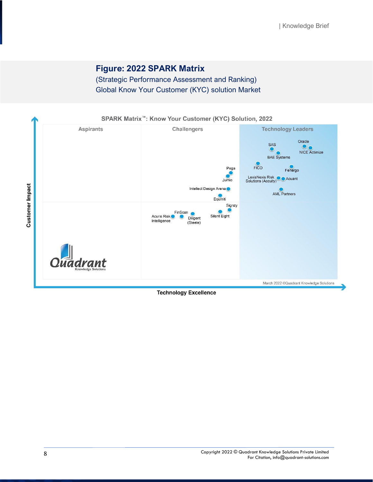## **Figure: 2022 SPARK Matrix**

(Strategic Performance Assessment and Ranking) Global Know Your Customer (KYC) solution Market



**Technology Excellence**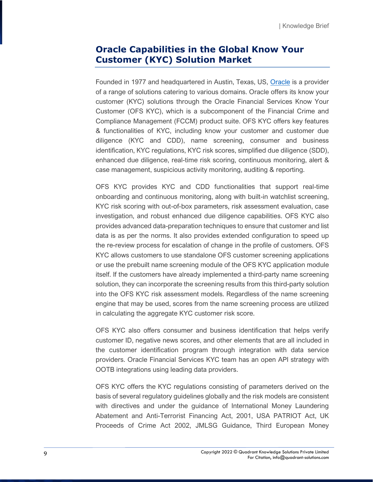# **Oracle Capabilities in the Global Know Your Customer (KYC) Solution Market**

Founded in 1977 and headquartered in Austin, Texas, US, [Oracle](https://www.oracle.com/index.html) is a provider of a range of solutions catering to various domains. Oracle offers its know your customer (KYC) solutions through the Oracle Financial Services Know Your Customer (OFS KYC), which is a subcomponent of the Financial Crime and Compliance Management (FCCM) product suite. OFS KYC offers key features & functionalities of KYC, including know your customer and customer due diligence (KYC and CDD), name screening, consumer and business identification, KYC regulations, KYC risk scores, simplified due diligence (SDD), enhanced due diligence, real-time risk scoring, continuous monitoring, alert & case management, suspicious activity monitoring, auditing & reporting.

OFS KYC provides KYC and CDD functionalities that support real-time onboarding and continuous monitoring, along with built-in watchlist screening, KYC risk scoring with out-of-box parameters, risk assessment evaluation, case investigation, and robust enhanced due diligence capabilities. OFS KYC also provides advanced data-preparation techniques to ensure that customer and list data is as per the norms. It also provides extended configuration to speed up the re-review process for escalation of change in the profile of customers. OFS KYC allows customers to use standalone OFS customer screening applications or use the prebuilt name screening module of the OFS KYC application module itself. If the customers have already implemented a third-party name screening solution, they can incorporate the screening results from this third-party solution into the OFS KYC risk assessment models. Regardless of the name screening engine that may be used, scores from the name screening process are utilized in calculating the aggregate KYC customer risk score.

OFS KYC also offers consumer and business identification that helps verify customer ID, negative news scores, and other elements that are all included in the customer identification program through integration with data service providers. Oracle Financial Services KYC team has an open API strategy with OOTB integrations using leading data providers.

OFS KYC offers the KYC regulations consisting of parameters derived on the basis of several regulatory guidelines globally and the risk models are consistent with directives and under the guidance of International Money Laundering Abatement and Anti-Terrorist Financing Act, 2001, USA PATRIOT Act, UK Proceeds of Crime Act 2002, JMLSG Guidance, Third European Money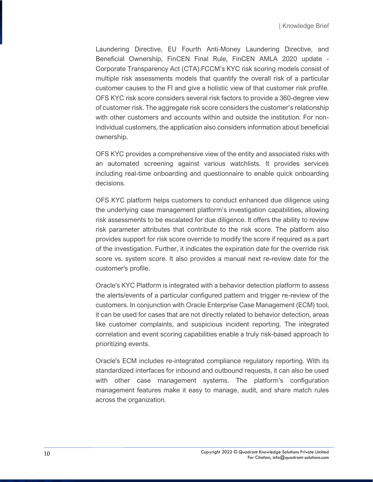Laundering Directive, EU Fourth Anti-Money Laundering Directive, and Beneficial Ownership, FinCEN Final Rule, FinCEN AMLA 2020 update - Corporate Transparency Act (CTA).FCCM's KYC risk scoring models consist of multiple risk assessments models that quantify the overall risk of a particular customer causes to the FI and give a holistic view of that customer risk profile. OFS KYC risk score considers several risk factors to provide a 360-degree view of customer risk. The aggregate risk score considers the customer's relationship with other customers and accounts within and outside the institution. For nonindividual customers, the application also considers information about beneficial ownership.

OFS KYC provides a comprehensive view of the entity and associated risks with an automated screening against various watchlists. It provides services including real-time onboarding and questionnaire to enable quick onboarding decisions.

OFS KYC platform helps customers to conduct enhanced due diligence using the underlying case management platform's investigation capabilities, allowing risk assessments to be escalated for due diligence. It offers the ability to review risk parameter attributes that contribute to the risk score. The platform also provides support for risk score override to modify the score if required as a part of the investigation. Further, it indicates the expiration date for the override risk score vs. system score. It also provides a manual next re-review date for the customer's profile.

Oracle's KYC Platform is integrated with a behavior detection platform to assess the alerts/events of a particular configured pattern and trigger re-review of the customers. In conjunction with Oracle Enterprise Case Management (ECM) tool, it can be used for cases that are not directly related to behavior detection, areas like customer complaints, and suspicious incident reporting. The integrated correlation and event scoring capabilities enable a truly risk-based approach to prioritizing events.

Oracle's ECM includes re-integrated compliance regulatory reporting. With its standardized interfaces for inbound and outbound requests, it can also be used with other case management systems. The platform's configuration management features make it easy to manage, audit, and share match rules across the organization.